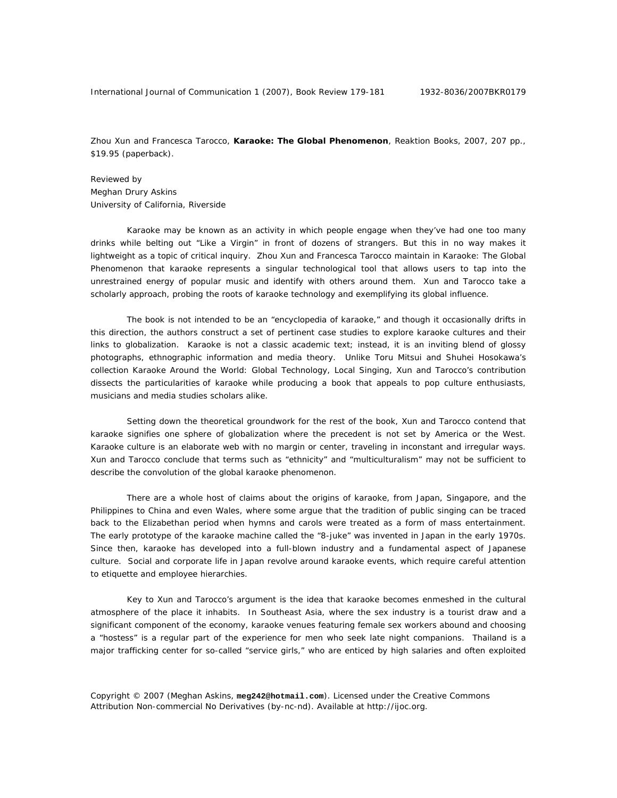Zhou Xun and Francesca Tarocco, **Karaoke: The Global Phenomenon**, Reaktion Books, 2007, 207 pp., \$19.95 (paperback).

Reviewed by Meghan Drury Askins University of California, Riverside

Karaoke may be known as an activity in which people engage when they've had one too many drinks while belting out "Like a Virgin" in front of dozens of strangers. But this in no way makes it lightweight as a topic of critical inquiry. Zhou Xun and Francesca Tarocco maintain in *Karaoke: The Global Phenomenon* that karaoke represents a singular technological tool that allows users to tap into the unrestrained energy of popular music and identify with others around them. Xun and Tarocco take a scholarly approach, probing the roots of karaoke technology and exemplifying its global influence.

The book is not intended to be an "encyclopedia of karaoke," and though it occasionally drifts in this direction, the authors construct a set of pertinent case studies to explore karaoke cultures and their links to globalization. *Karaoke* is not a classic academic text; instead, it is an inviting blend of glossy photographs, ethnographic information and media theory. Unlike Toru Mitsui and Shuhei Hosokawa's collection *Karaoke Around the World: Global Technology, Local Singing, Xun and Tarocco's contribution* dissects the particularities of karaoke while producing a book that appeals to pop culture enthusiasts, musicians and media studies scholars alike.

Setting down the theoretical groundwork for the rest of the book, Xun and Tarocco contend that karaoke signifies one sphere of globalization where the precedent is not set by America or the West. Karaoke culture is an elaborate web with no margin or center, traveling in inconstant and irregular ways. Xun and Tarocco conclude that terms such as "ethnicity" and "multiculturalism" may not be sufficient to describe the convolution of the global karaoke phenomenon.

There are a whole host of claims about the origins of karaoke, from Japan, Singapore, and the Philippines to China and even Wales, where some argue that the tradition of public singing can be traced back to the Elizabethan period when hymns and carols were treated as a form of mass entertainment. The early prototype of the karaoke machine called the "8-juke" was invented in Japan in the early 1970s. Since then, karaoke has developed into a full-blown industry and a fundamental aspect of Japanese culture. Social and corporate life in Japan revolve around karaoke events, which require careful attention to etiquette and employee hierarchies.

Key to Xun and Tarocco's argument is the idea that karaoke becomes enmeshed in the cultural atmosphere of the place it inhabits. In Southeast Asia, where the sex industry is a tourist draw and a significant component of the economy, karaoke venues featuring female sex workers abound and choosing a "hostess" is a regular part of the experience for men who seek late night companions. Thailand is a major trafficking center for so-called "service girls," who are enticed by high salaries and often exploited

Copyright © 2007 (Meghan Askins, **meg242@hotmail.com**). Licensed under the Creative Commons Attribution Non-commercial No Derivatives (by-nc-nd). Available at http://ijoc.org.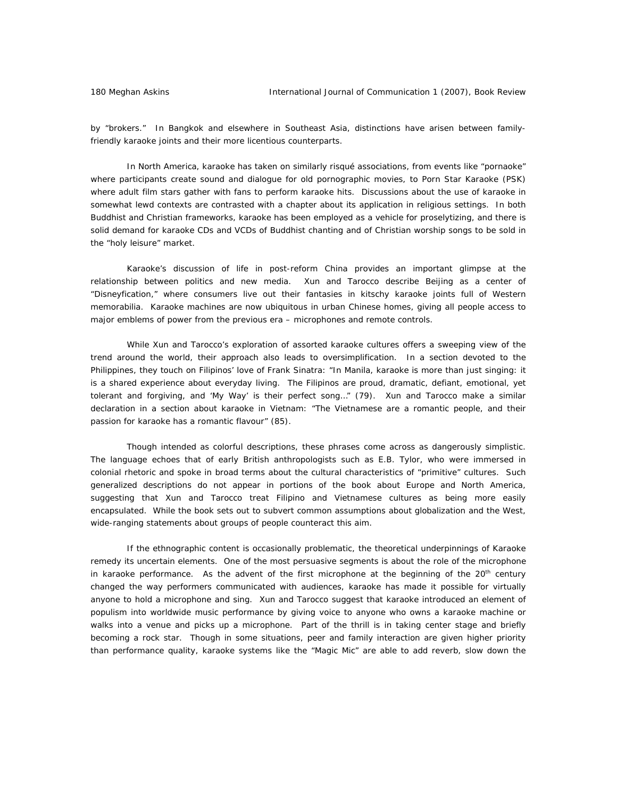by "brokers." In Bangkok and elsewhere in Southeast Asia, distinctions have arisen between familyfriendly karaoke joints and their more licentious counterparts.

In North America, karaoke has taken on similarly risqué associations, from events like "pornaoke" where participants create sound and dialogue for old pornographic movies, to Porn Star Karaoke (PSK) where adult film stars gather with fans to perform karaoke hits. Discussions about the use of karaoke in somewhat lewd contexts are contrasted with a chapter about its application in religious settings. In both Buddhist and Christian frameworks, karaoke has been employed as a vehicle for proselytizing, and there is solid demand for karaoke CDs and VCDs of Buddhist chanting and of Christian worship songs to be sold in the "holy leisure" market.

*Karaoke*'s discussion of life in post-reform China provides an important glimpse at the relationship between politics and new media. Xun and Tarocco describe Beijing as a center of "Disneyfication," where consumers live out their fantasies in kitschy karaoke joints full of Western memorabilia. Karaoke machines are now ubiquitous in urban Chinese homes, giving all people access to major emblems of power from the previous era – microphones and remote controls.

While Xun and Tarocco's exploration of assorted karaoke cultures offers a sweeping view of the trend around the world, their approach also leads to oversimplification. In a section devoted to the Philippines, they touch on Filipinos' love of Frank Sinatra: "In Manila, karaoke is more than just singing: it is a shared experience about everyday living. The Filipinos are proud, dramatic, defiant, emotional, yet tolerant and forgiving, and 'My Way' is their perfect song…" (79). Xun and Tarocco make a similar declaration in a section about karaoke in Vietnam: "The Vietnamese are a romantic people, and their passion for karaoke has a romantic flavour" (85).

Though intended as colorful descriptions, these phrases come across as dangerously simplistic. The language echoes that of early British anthropologists such as E.B. Tylor, who were immersed in colonial rhetoric and spoke in broad terms about the cultural characteristics of "primitive" cultures. Such generalized descriptions do not appear in portions of the book about Europe and North America, suggesting that Xun and Tarocco treat Filipino and Vietnamese cultures as being more easily encapsulated. While the book sets out to subvert common assumptions about globalization and the West, wide-ranging statements about groups of people counteract this aim.

If the ethnographic content is occasionally problematic, the theoretical underpinnings of *Karaoke*  remedy its uncertain elements. One of the most persuasive segments is about the role of the microphone in karaoke performance. As the advent of the first microphone at the beginning of the  $20<sup>th</sup>$  century changed the way performers communicated with audiences, karaoke has made it possible for virtually anyone to hold a microphone and sing. Xun and Tarocco suggest that karaoke introduced an element of populism into worldwide music performance by giving voice to anyone who owns a karaoke machine or walks into a venue and picks up a microphone. Part of the thrill is in taking center stage and briefly becoming a rock star. Though in some situations, peer and family interaction are given higher priority than performance quality, karaoke systems like the "Magic Mic" are able to add reverb, slow down the